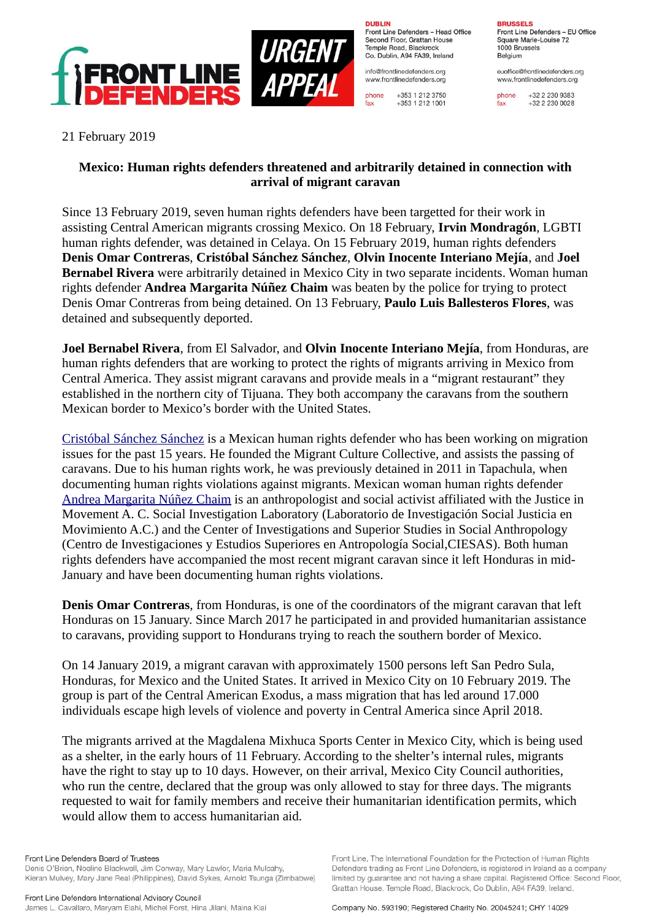

**URGEN<br>APPEA** 

**DURLIN** Front Line Defenders - Head Office Second Floor, Grattan House Temple Boad, Blackrock Co. Dublin, A94 FA39, Ireland

info@frontlinedefenders.org www.frontlinedefenders.org

+353 1 212 3750 phone fax +353 1 212 1001 **BDHCCELC** Front Line Defenders - EU Office

Square Marie-Louise 72 1000 Brussels Belgium

euoffice@frontlinedefenders.org www.frontlinedefenders.org

+32 2 230 9383 phone  $fax$ +32 2 230 0028

21 February 2019

## **Mexico: Human rights defenders threatened and arbitrarily detained in connection with arrival of migrant caravan**

Since 13 February 2019, seven human rights defenders have been targetted for their work in assisting Central American migrants crossing Mexico. On 18 February, **Irvin Mondragón**, LGBTI human rights defender, was detained in Celaya. On 15 February 2019, human rights defenders **Denis Omar Contreras**, **Cristóbal Sánchez Sánchez**, **Olvin Inocente Interiano Mejía**, and **Joel Bernabel Rivera** were arbitrarily detained in Mexico City in two separate incidents. Woman human rights defender **Andrea Margarita Núñez Chaim** was beaten by the police for trying to protect Denis Omar Contreras from being detained. On 13 February, **Paulo Luis Ballesteros Flores**, was detained and subsequently deported.

**Joel Bernabel Rivera**, from El Salvador, and **Olvin Inocente Interiano Mejía**, from Honduras, are human rights defenders that are working to protect the rights of migrants arriving in Mexico from Central America. They assist migrant caravans and provide meals in a "migrant restaurant" they established in the northern city of Tijuana. They both accompany the caravans from the southern Mexican border to Mexico's border with the United States.

[Cristóbal Sánchez Sánchez](https://www.frontlinedefenders.org/en/profile/cristobal-sanchez-sanchez) is a Mexican human rights defender who has been working on migration issues for the past 15 years. He founded the Migrant Culture Collective, and assists the passing of caravans. Due to his human rights work, he was previously detained in 2011 in Tapachula, when documenting human rights violations against migrants. Mexican woman human rights defender [Andrea Margarita Núñez Chaim](https://www.frontlinedefenders.org/en/profile/andrea-margarita-nunez-chaim) is an anthropologist and social activist affiliated with the Justice in Movement A. C. Social Investigation Laboratory (Laboratorio de Investigación Social Justicia en Movimiento A.C.) and the Center of Investigations and Superior Studies in Social Anthropology (Centro de Investigaciones y Estudios Superiores en Antropología Social,CIESAS). Both human rights defenders have accompanied the most recent migrant caravan since it left Honduras in mid-January and have been documenting human rights violations.

**Denis Omar Contreras**, from Honduras, is one of the coordinators of the migrant caravan that left Honduras on 15 January. Since March 2017 he participated in and provided humanitarian assistance to caravans, providing support to Hondurans trying to reach the southern border of Mexico.

On 14 January 2019, a migrant caravan with approximately 1500 persons left San Pedro Sula, Honduras, for Mexico and the United States. It arrived in Mexico City on 10 February 2019. The group is part of the Central American Exodus, a mass migration that has led around 17.000 individuals escape high levels of violence and poverty in Central America since April 2018.

The migrants arrived at the Magdalena Mixhuca Sports Center in Mexico City, which is being used as a shelter, in the early hours of 11 February. According to the shelter's internal rules, migrants have the right to stay up to 10 days. However, on their arrival, Mexico City Council authorities, who run the centre, declared that the group was only allowed to stay for three days. The migrants requested to wait for family members and receive their humanitarian identification permits, which would allow them to access humanitarian aid.

Front Line Defenders Board of Trustees Denis O'Brien, Noeline Blackwell, Jim Conway, Mary Lawlor, Maria Mulcahy, Kieran Mulvey, Mary Jane Real (Philippines), David Sykes, Arnold Tsunga (Zimbabwe) Front Line, The International Foundation for the Protection of Human Rights

Defenders trading as Front Line Defenders, is registered in Ireland as a company

limited by guarantee and not having a share capital. Registered Office: Second Floor,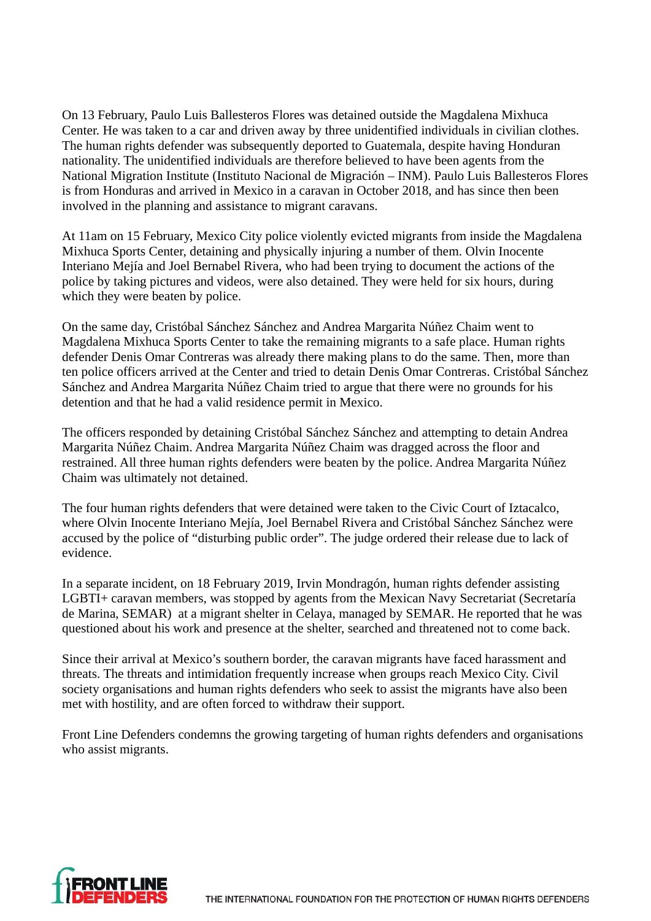On 13 February, Paulo Luis Ballesteros Flores was detained outside the Magdalena Mixhuca Center. He was taken to a car and driven away by three unidentified individuals in civilian clothes. The human rights defender was subsequently deported to Guatemala, despite having Honduran nationality. The unidentified individuals are therefore believed to have been agents from the National Migration Institute (Instituto Nacional de Migración – INM). Paulo Luis Ballesteros Flores is from Honduras and arrived in Mexico in a caravan in October 2018, and has since then been involved in the planning and assistance to migrant caravans.

At 11am on 15 February, Mexico City police violently evicted migrants from inside the Magdalena Mixhuca Sports Center, detaining and physically injuring a number of them. Olvin Inocente Interiano Mejía and Joel Bernabel Rivera, who had been trying to document the actions of the police by taking pictures and videos, were also detained. They were held for six hours, during which they were beaten by police.

On the same day, Cristóbal Sánchez Sánchez and Andrea Margarita Núñez Chaim went to Magdalena Mixhuca Sports Center to take the remaining migrants to a safe place. Human rights defender Denis Omar Contreras was already there making plans to do the same. Then, more than ten police officers arrived at the Center and tried to detain Denis Omar Contreras. Cristóbal Sánchez Sánchez and Andrea Margarita Núñez Chaim tried to argue that there were no grounds for his detention and that he had a valid residence permit in Mexico.

The officers responded by detaining Cristóbal Sánchez Sánchez and attempting to detain Andrea Margarita Núñez Chaim. Andrea Margarita Núñez Chaim was dragged across the floor and restrained. All three human rights defenders were beaten by the police. Andrea Margarita Núñez Chaim was ultimately not detained.

The four human rights defenders that were detained were taken to the Civic Court of Iztacalco, where Olvin Inocente Interiano Mejía, Joel Bernabel Rivera and Cristóbal Sánchez Sánchez were accused by the police of "disturbing public order". The judge ordered their release due to lack of evidence.

In a separate incident, on 18 February 2019, Irvin Mondragón, human rights defender assisting LGBTI+ caravan members, was stopped by agents from the Mexican Navy Secretariat (Secretaría de Marina, SEMAR) at a migrant shelter in Celaya, managed by SEMAR. He reported that he was questioned about his work and presence at the shelter, searched and threatened not to come back.

Since their arrival at Mexico's southern border, the caravan migrants have faced harassment and threats. The threats and intimidation frequently increase when groups reach Mexico City. Civil society organisations and human rights defenders who seek to assist the migrants have also been met with hostility, and are often forced to withdraw their support.

Front Line Defenders condemns the growing targeting of human rights defenders and organisations who assist migrants.